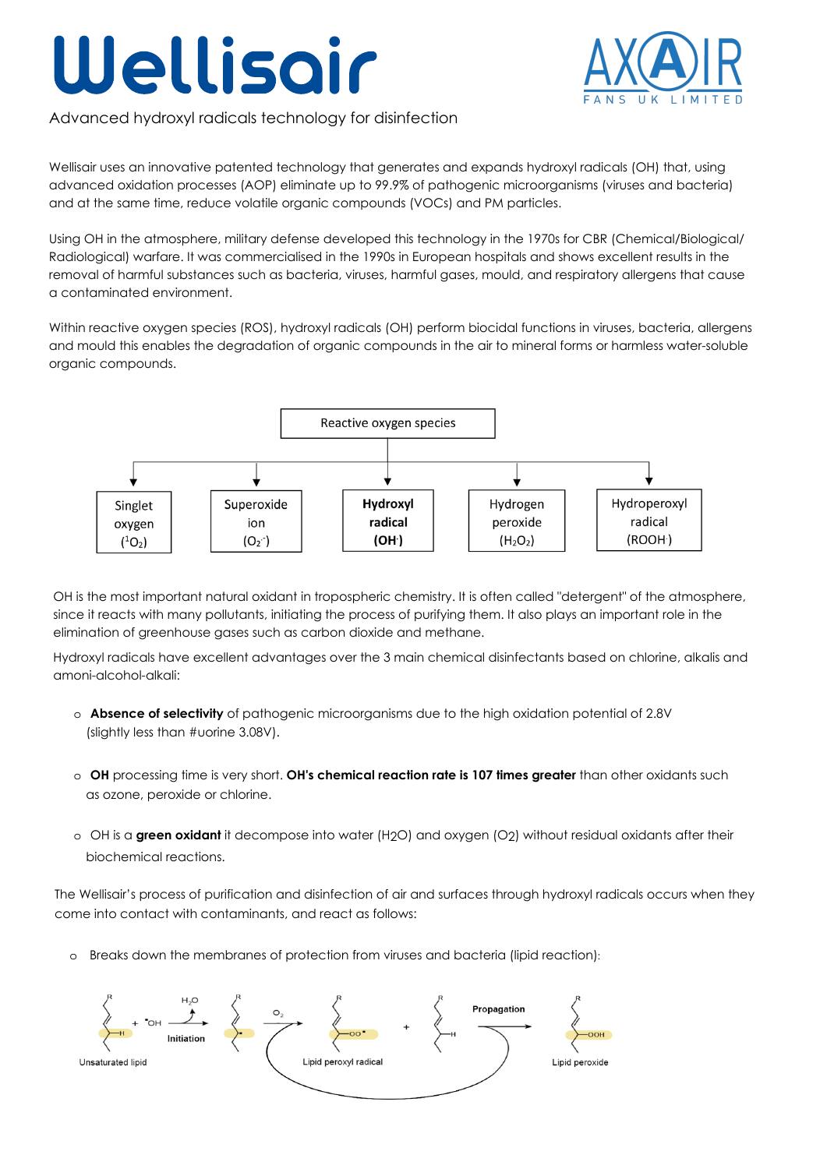## Wellisoir



Advanced hydroxyl radicals technology for disinfection

Wellisair uses an innovative patented technology that generates and expands hydroxyl radicals (OH) that, using advanced oxidation processes (AOP) eliminate up to 99.9% of pathogenic microorganisms (viruses and bacteria) and at the same time, reduce volatile organic compounds (VOCs) and PM particles.

Using OH in the atmosphere, military defense developed this technology in the 1970s for CBR (Chemical/Biological/ Radiological) warfare. It was commercialised in the 1990s in European hospitals and shows excellent results in the removal of harmful substances such as bacteria, viruses, harmful gases, mould, and respiratory allergens that cause a contaminated environment.

Within reactive oxygen species (ROS), hydroxyl radicals (OH) perform biocidal functions in viruses, bacteria, allergens and mould this enables the degradation of organic compounds in the air to mineral forms or harmless water-soluble organic compounds.



OH is the most important natural oxidant in tropospheric chemistry. It is often called "detergent" of the atmosphere, since it reacts with many pollutants, initiating the process of purifying them. It also plays an important role in the elimination of greenhouse gases such as carbon dioxide and methane.

Hydroxyl radicals have excellent advantages over the 3 main chemical disinfectants based on chlorine, alkalis and amoni-alcohol-alkali:

- o **Absence of selectivity** of pathogenic microorganisms due to the high oxidation potential of 2.8V (slightly less than #uorine 3.08V).
- o **OH** processing time is very short. **OH's chemical reaction rate is 107 times greater** than other oxidants such as ozone, peroxide or chlorine.
- o OH is a **green oxidant** it decompose into water (H2O) and oxygen (O2) without residual oxidants after their biochemical reactions.

The Wellisair's process of purification and disinfection of air and surfaces through hydroxyl radicals occurs when they come into contact with contaminants, and react as follows:

o Breaks down the membranes of protection from viruses and bacteria (lipid reaction):